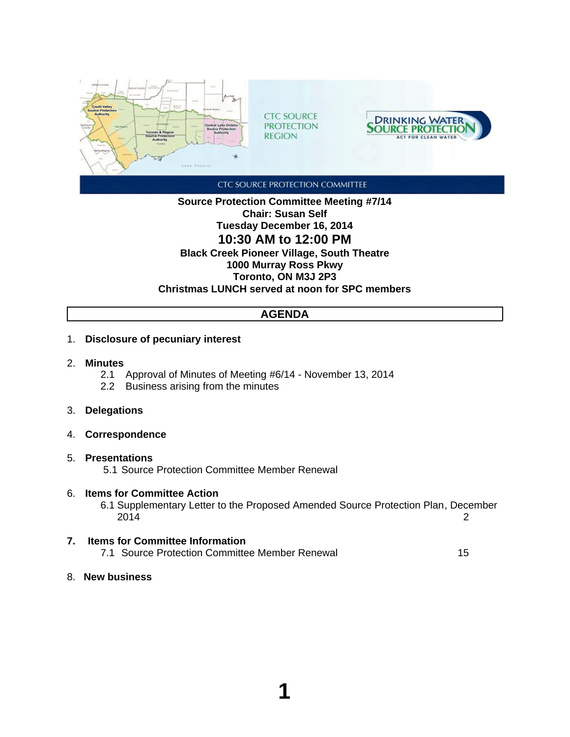

**Source Protection Committee Meeting #7/14 Chair: Susan Self Tuesday December 16, 2014 10:30 AM to 12:00 PM Black Creek Pioneer Village, South Theatre 1000 Murray Ross Pkwy Toronto, ON M3J 2P3 Christmas LUNCH served at noon for SPC members**

# **AGENDA**

- 1. **Disclosure of pecuniary interest**
- 2. **Minutes**
	- 2.1 Approval of Minutes of Meeting #6/14 November 13, 2014
	- 2.2 Business arising from the minutes
- 3. **Delegations**
- 4. **Correspondence**
- 5. **Presentations**

5.1 Source Protection Committee Member Renewal

6. **Items for Committee Action**

6.1 Supplementary Letter to the Proposed Amended Source Protection Plan, December 2014 2

- **7. Items for Committee Information** 7.1 Source Protection Committee Member Renewal 15
- 8. **New business**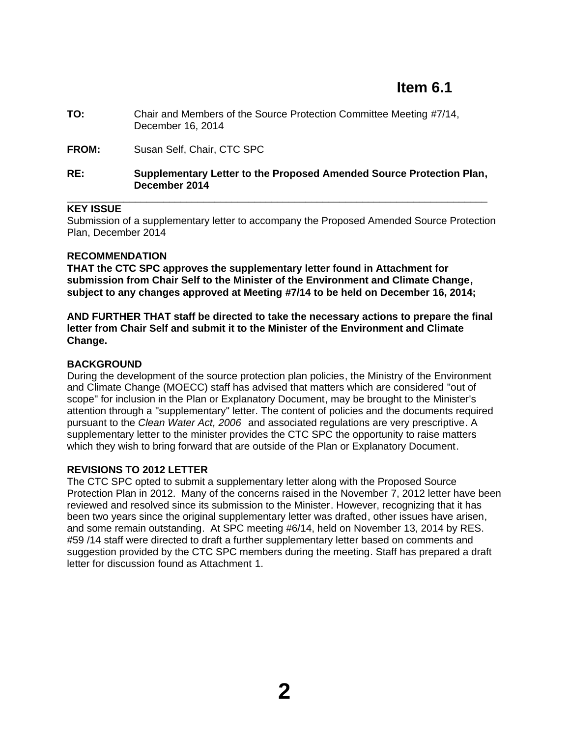# **Item 6.1**

- **TO:** Chair and Members of the Source Protection Committee Meeting #7/14, December 16, 2014
- **FROM:** Susan Self, Chair, CTC SPC

#### **RE: Supplementary Letter to the Proposed Amended Source Protection Plan, December 2014** \_\_\_\_\_\_\_\_\_\_\_\_\_\_\_\_\_\_\_\_\_\_\_\_\_\_\_\_\_\_\_\_\_\_\_\_\_\_\_\_\_\_\_\_\_\_\_\_\_\_\_\_\_\_\_\_\_\_\_\_\_\_\_\_\_\_\_\_\_\_\_\_\_\_

### **KEY ISSUE**

Submission of a supplementary letter to accompany the Proposed Amended Source Protection Plan, December 2014

### **RECOMMENDATION**

**THAT the CTC SPC approves the supplementary letter found in Attachment for submission from Chair Self to the Minister of the Environment and Climate Change, subject to any changes approved at Meeting #7/14 to be held on December 16, 2014;**

**AND FURTHER THAT staff be directed to take the necessary actions to prepare the final letter from Chair Self and submit it to the Minister of the Environment and Climate Change.**

### **BACKGROUND**

During the development of the source protection plan policies, the Ministry of the Environment and Climate Change (MOECC) staff has advised that matters which are considered "out of scope" for inclusion in the Plan or Explanatory Document, may be brought to the Minister's attention through a "supplementary" letter. The content of policies and the documents required pursuant to the *Clean Water Act, 2006* and associated regulations are very prescriptive. A supplementary letter to the minister provides the CTC SPC the opportunity to raise matters which they wish to bring forward that are outside of the Plan or Explanatory Document.

#### **REVISIONS TO 2012 LETTER**

The CTC SPC opted to submit a supplementary letter along with the Proposed Source Protection Plan in 2012. Many of the concerns raised in the November 7, 2012 letter have been reviewed and resolved since its submission to the Minister. However, recognizing that it has been two years since the original supplementary letter was drafted, other issues have arisen, and some remain outstanding. At SPC meeting #6/14, held on November 13, 2014 by RES. #59 /14 staff were directed to draft a further supplementary letter based on comments and suggestion provided by the CTC SPC members during the meeting. Staff has prepared a draft letter for discussion found as Attachment 1.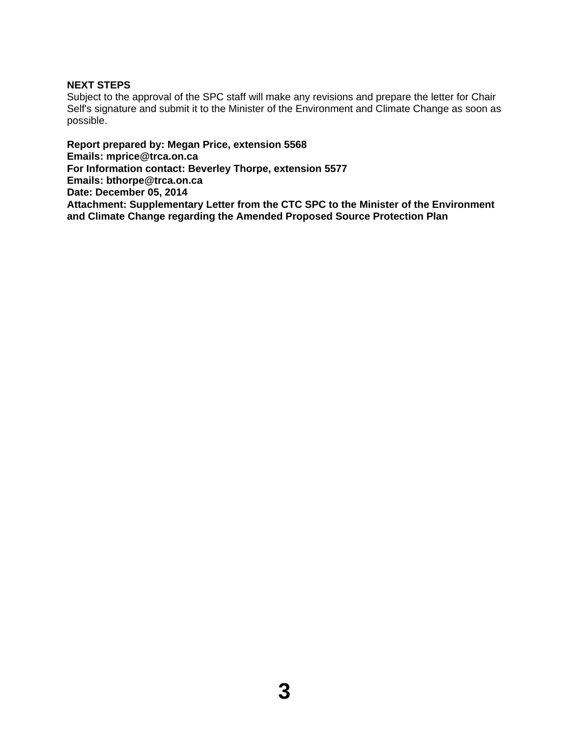## **NEXT STEPS**

Subject to the approval of the SPC staff will make any revisions and prepare the letter for Chair Self's signature and submit it to the Minister of the Environment and Climate Change as soon as possible.

**Report prepared by: Megan Price, extension 5568 Emails: mprice@trca.on.ca For Information contact: Beverley Thorpe, extension 5577 Emails: bthorpe@trca.on.ca Date: December 05, 2014 Attachment: Supplementary Letter from the CTC SPC to the Minister of the Environment and Climate Change regarding the Amended Proposed Source Protection Plan**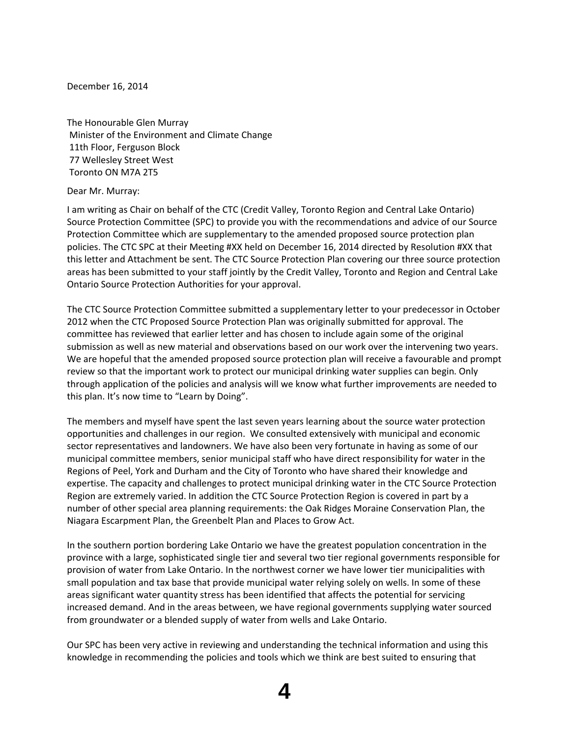December 16, 2014

The Honourable Glen Murray Minister of the Environment and Climate Change 11th Floor, Ferguson Block 77 Wellesley Street West Toronto ON M7A 2T5

Dear Mr. Murray:

I am writing as Chair on behalf of the CTC (Credit Valley, Toronto Region and Central Lake Ontario) Source Protection Committee (SPC) to provide you with the recommendations and advice of our Source Protection Committee which are supplementary to the amended proposed source protection plan policies. The CTC SPC at their Meeting #XX held on December 16, 2014 directed by Resolution #XX that this letter and Attachment be sent. The CTC Source Protection Plan covering our three source protection areas has been submitted to your staff jointly by the Credit Valley, Toronto and Region and Central Lake Ontario Source Protection Authorities for your approval.

The CTC Source Protection Committee submitted a supplementary letter to your predecessor in October 2012 when the CTC Proposed Source Protection Plan was originally submitted for approval. The committee has reviewed that earlier letter and has chosen to include again some of the original submission as well as new material and observations based on our work over the intervening two years. We are hopeful that the amended proposed source protection plan will receive a favourable and prompt review so that the important work to protect our municipal drinking water supplies can begin. Only through application of the policies and analysis will we know what further improvements are needed to this plan. It's now time to "Learn by Doing".

The members and myself have spent the last seven years learning about the source water protection opportunities and challenges in our region. We consulted extensively with municipal and economic sector representatives and landowners. We have also been very fortunate in having as some of our municipal committee members, senior municipal staff who have direct responsibility for water in the Regions of Peel, York and Durham and the City of Toronto who have shared their knowledge and expertise. The capacity and challenges to protect municipal drinking water in the CTC Source Protection Region are extremely varied. In addition the CTC Source Protection Region is covered in part by a number of other special area planning requirements: the Oak Ridges Moraine Conservation Plan, the Niagara Escarpment Plan, the Greenbelt Plan and Places to Grow Act.

In the southern portion bordering Lake Ontario we have the greatest population concentration in the province with a large, sophisticated single tier and several two tier regional governments responsible for provision of water from Lake Ontario. In the northwest corner we have lower tier municipalities with small population and tax base that provide municipal water relying solely on wells. In some of these areas significant water quantity stress has been identified that affects the potential for servicing increased demand. And in the areas between, we have regional governments supplying water sourced from groundwater or a blended supply of water from wells and Lake Ontario.

Our SPC has been very active in reviewing and understanding the technical information and using this knowledge in recommending the policies and tools which we think are best suited to ensuring that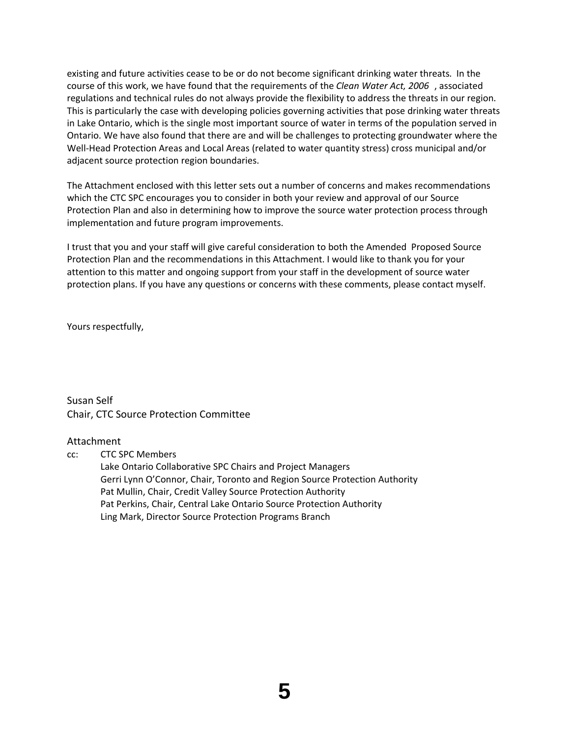existing and future activities cease to be or do not become significant drinking water threats. In the course of this work, we have found that the requirements of the *Clean Water Act, 2006* , associated regulations and technical rules do not always provide the flexibility to address the threats in our region. This is particularly the case with developing policies governing activities that pose drinking water threats in Lake Ontario, which is the single most important source of water in terms of the population served in Ontario. We have also found that there are and will be challenges to protecting groundwater where the Well-Head Protection Areas and Local Areas (related to water quantity stress) cross municipal and/or adjacent source protection region boundaries.

The Attachment enclosed with this letter sets out a number of concerns and makes recommendations which the CTC SPC encourages you to consider in both your review and approval of our Source Protection Plan and also in determining how to improve the source water protection process through implementation and future program improvements.

I trust that you and your staff will give careful consideration to both the Amended Proposed Source Protection Plan and the recommendations in this Attachment. I would like to thank you for your attention to this matter and ongoing support from your staff in the development of source water protection plans. If you have any questions or concerns with these comments, please contact myself.

Yours respectfully,

Susan Self Chair, CTC Source Protection Committee

#### Attachment

cc: CTC SPC Members

Lake Ontario Collaborative SPC Chairs and Project Managers Gerri Lynn O'Connor, Chair, Toronto and Region Source Protection Authority Pat Mullin, Chair, Credit Valley Source Protection Authority Pat Perkins, Chair, Central Lake Ontario Source Protection Authority Ling Mark, Director Source Protection Programs Branch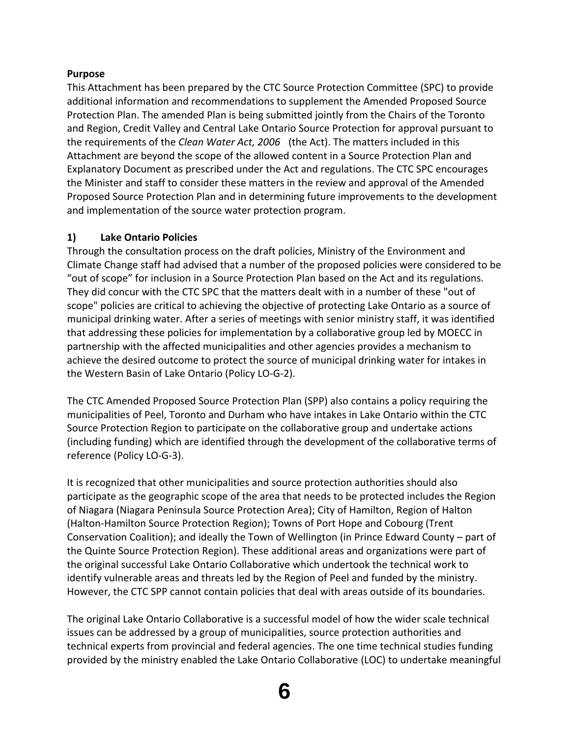# **Purpose**

This Attachment has been prepared by the CTC Source Protection Committee (SPC) to provide additional information and recommendations to supplement the Amended Proposed Source Protection Plan. The amended Plan is being submitted jointly from the Chairs of the Toronto and Region, Credit Valley and Central Lake Ontario Source Protection for approval pursuant to the requirements of the *Clean Water Act, 2006* (the Act). The matters included in this Attachment are beyond the scope of the allowed content in a Source Protection Plan and Explanatory Document as prescribed under the Act and regulations. The CTC SPC encourages the Minister and staff to consider these matters in the review and approval of the Amended Proposed Source Protection Plan and in determining future improvements to the development and implementation of the source water protection program.

# **1) Lake Ontario Policies**

Through the consultation process on the draft policies, Ministry of the Environment and Climate Change staff had advised that a number of the proposed policies were considered to be "out of scope" for inclusion in a Source Protection Plan based on the Act and its regulations. They did concur with the CTC SPC that the matters dealt with in a number of these "out of scope" policies are critical to achieving the objective of protecting Lake Ontario as a source of municipal drinking water. After a series of meetings with senior ministry staff, it was identified that addressing these policies for implementation by a collaborative group led by MOECC in partnership with the affected municipalities and other agencies provides a mechanism to achieve the desired outcome to protect the source of municipal drinking water for intakes in the Western Basin of Lake Ontario (Policy LO‐G‐2).

The CTC Amended Proposed Source Protection Plan (SPP) also contains a policy requiring the municipalities of Peel, Toronto and Durham who have intakes in Lake Ontario within the CTC Source Protection Region to participate on the collaborative group and undertake actions (including funding) which are identified through the development of the collaborative terms of reference (Policy LO‐G‐3).

It is recognized that other municipalities and source protection authorities should also participate as the geographic scope of the area that needs to be protected includes the Region of Niagara (Niagara Peninsula Source Protection Area); City of Hamilton, Region of Halton (Halton‐Hamilton Source Protection Region); Towns of Port Hope and Cobourg (Trent Conservation Coalition); and ideally the Town of Wellington (in Prince Edward County – part of the Quinte Source Protection Region). These additional areas and organizations were part of the original successful Lake Ontario Collaborative which undertook the technical work to identify vulnerable areas and threats led by the Region of Peel and funded by the ministry. However, the CTC SPP cannot contain policies that deal with areas outside of its boundaries.

The original Lake Ontario Collaborative is a successful model of how the wider scale technical issues can be addressed by a group of municipalities, source protection authorities and technical experts from provincial and federal agencies. The one time technical studies funding provided by the ministry enabled the Lake Ontario Collaborative (LOC) to undertake meaningful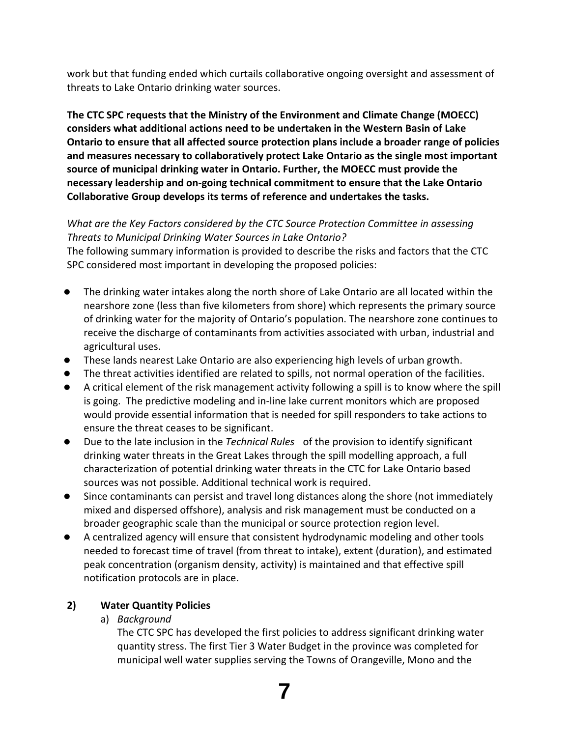work but that funding ended which curtails collaborative ongoing oversight and assessment of threats to Lake Ontario drinking water sources.

**The CTC SPC requests that the Ministry of the Environment and Climate Change (MOECC) considers what additional actions need to be undertaken in the Western Basin of Lake Ontario to ensure that all affected source protection plans include a broader range of policies and measures necessary to collaboratively protect Lake Ontario as the single most important source of municipal drinking water in Ontario. Further, the MOECC must provide the necessary leadership and on‐going technical commitment to ensure that the Lake Ontario Collaborative Group develops its terms of reference and undertakes the tasks.**

# *What are the Key Factors considered by the CTC Source Protection Committee in assessing Threats to Municipal Drinking Water Sources in Lake Ontario?*

The following summary information is provided to describe the risks and factors that the CTC SPC considered most important in developing the proposed policies:

- The drinking water intakes along the north shore of Lake Ontario are all located within the nearshore zone (less than five kilometers from shore) which represents the primary source of drinking water for the majority of Ontario's population. The nearshore zone continues to receive the discharge of contaminants from activities associated with urban, industrial and agricultural uses.
- These lands nearest Lake Ontario are also experiencing high levels of urban growth.
- The threat activities identified are related to spills, not normal operation of the facilities.
- A critical element of the risk management activity following a spill is to know where the spill is going. The predictive modeling and in‐line lake current monitors which are proposed would provide essential information that is needed for spill responders to take actions to ensure the threat ceases to be significant.
- Due to the late inclusion in the *Technical Rules* of the provision to identify significant drinking water threats in the Great Lakes through the spill modelling approach, a full characterization of potential drinking water threats in the CTC for Lake Ontario based sources was not possible. Additional technical work is required.
- Since contaminants can persist and travel long distances along the shore (not immediately mixed and dispersed offshore), analysis and risk management must be conducted on a broader geographic scale than the municipal or source protection region level.
- A centralized agency will ensure that consistent hydrodynamic modeling and other tools needed to forecast time of travel (from threat to intake), extent (duration), and estimated peak concentration (organism density, activity) is maintained and that effective spill notification protocols are in place.

# **2) Water Quantity Policies**

a) *Background*

The CTC SPC has developed the first policies to address significant drinking water quantity stress. The first Tier 3 Water Budget in the province was completed for municipal well water supplies serving the Towns of Orangeville, Mono and the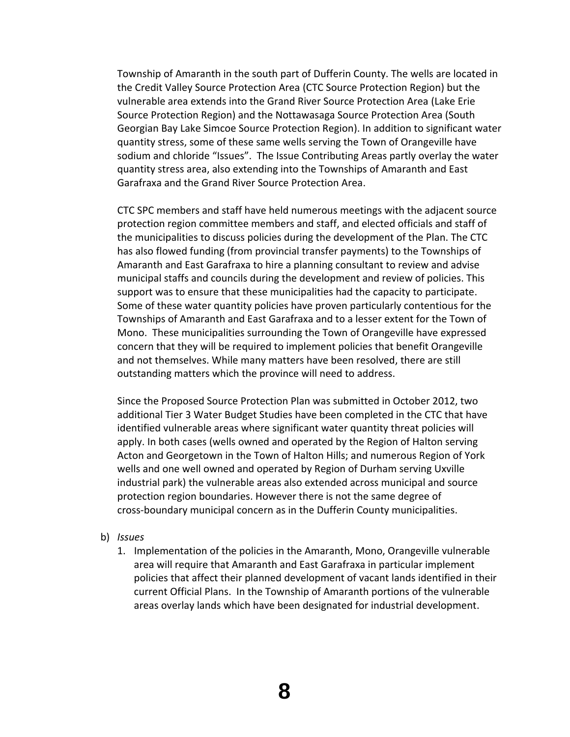Township of Amaranth in the south part of Dufferin County. The wells are located in the Credit Valley Source Protection Area (CTC Source Protection Region) but the vulnerable area extends into the Grand River Source Protection Area (Lake Erie Source Protection Region) and the Nottawasaga Source Protection Area (South Georgian Bay Lake Simcoe Source Protection Region). In addition to significant water quantity stress, some of these same wells serving the Town of Orangeville have sodium and chloride "Issues". The Issue Contributing Areas partly overlay the water quantity stress area, also extending into the Townships of Amaranth and East Garafraxa and the Grand River Source Protection Area.

CTC SPC members and staff have held numerous meetings with the adjacent source protection region committee members and staff, and elected officials and staff of the municipalities to discuss policies during the development of the Plan. The CTC has also flowed funding (from provincial transfer payments) to the Townships of Amaranth and East Garafraxa to hire a planning consultant to review and advise municipal staffs and councils during the development and review of policies. This support was to ensure that these municipalities had the capacity to participate. Some of these water quantity policies have proven particularly contentious for the Townships of Amaranth and East Garafraxa and to a lesser extent for the Town of Mono. These municipalities surrounding the Town of Orangeville have expressed concern that they will be required to implement policies that benefit Orangeville and not themselves. While many matters have been resolved, there are still outstanding matters which the province will need to address.

Since the Proposed Source Protection Plan was submitted in October 2012, two additional Tier 3 Water Budget Studies have been completed in the CTC that have identified vulnerable areas where significant water quantity threat policies will apply. In both cases (wells owned and operated by the Region of Halton serving Acton and Georgetown in the Town of Halton Hills; and numerous Region of York wells and one well owned and operated by Region of Durham serving Uxville industrial park) the vulnerable areas also extended across municipal and source protection region boundaries. However there is not the same degree of cross‐boundary municipal concern as in the Dufferin County municipalities.

- b) *Issues*
	- 1. Implementation of the policies in the Amaranth, Mono, Orangeville vulnerable area will require that Amaranth and East Garafraxa in particular implement policies that affect their planned development of vacant lands identified in their current Official Plans. In the Township of Amaranth portions of the vulnerable areas overlay lands which have been designated for industrial development.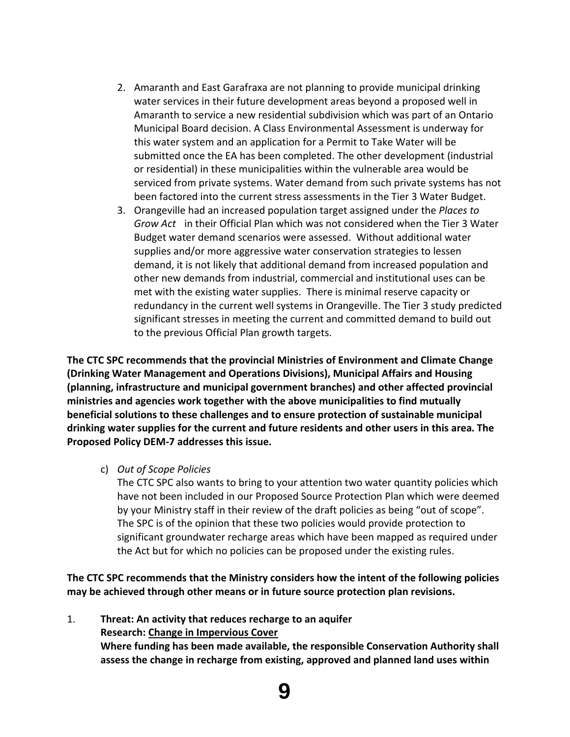- 2. Amaranth and East Garafraxa are not planning to provide municipal drinking water services in their future development areas beyond a proposed well in Amaranth to service a new residential subdivision which was part of an Ontario Municipal Board decision. A Class Environmental Assessment is underway for this water system and an application for a Permit to Take Water will be submitted once the EA has been completed. The other development (industrial or residential) in these municipalities within the vulnerable area would be serviced from private systems. Water demand from such private systems has not been factored into the current stress assessments in the Tier 3 Water Budget.
- 3. Orangeville had an increased population target assigned under the *Places to Grow Act* in their Official Plan which was not considered when the Tier 3 Water Budget water demand scenarios were assessed. Without additional water supplies and/or more aggressive water conservation strategies to lessen demand, it is not likely that additional demand from increased population and other new demands from industrial, commercial and institutional uses can be met with the existing water supplies. There is minimal reserve capacity or redundancy in the current well systems in Orangeville. The Tier 3 study predicted significant stresses in meeting the current and committed demand to build out to the previous Official Plan growth targets.

**The CTC SPC recommends that the provincial Ministries of Environment and Climate Change (Drinking Water Management and Operations Divisions), Municipal Affairs and Housing (planning, infrastructure and municipal government branches) and other affected provincial ministries and agencies work together with the above municipalities to find mutually beneficial solutions to these challenges and to ensure protection of sustainable municipal drinking water supplies for the current and future residents and other users in this area. The Proposed Policy DEM‐7 addresses this issue.**

c) *Out of Scope Policies*

The CTC SPC also wants to bring to your attention two water quantity policies which have not been included in our Proposed Source Protection Plan which were deemed by your Ministry staff in their review of the draft policies as being "out of scope". The SPC is of the opinion that these two policies would provide protection to significant groundwater recharge areas which have been mapped as required under the Act but for which no policies can be proposed under the existing rules.

**The CTC SPC recommends that the Ministry considers how the intent of the following policies may be achieved through other means or in future source protection plan revisions.**

1. **Threat: An activity that reduces recharge to an aquifer Research: Change in Impervious Cover Where funding has been made available, the responsible Conservation Authority shall assess the change in recharge from existing, approved and planned land uses within**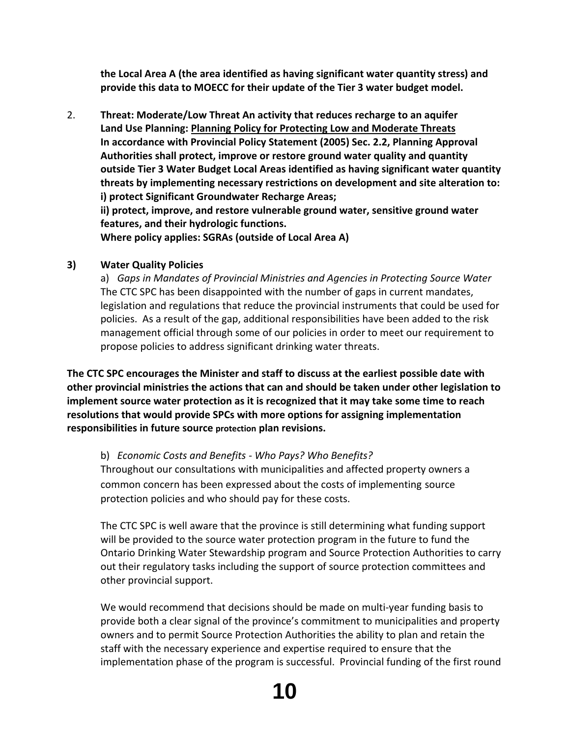**the Local Area A (the area identified as having significant water quantity stress) and provide this data to MOECC for their update of the Tier 3 water budget model.**

2. **Threat: Moderate/Low Threat An activity that reduces recharge to an aquifer Land Use Planning: Planning Policy for Protecting Low and Moderate Threats In accordance with Provincial Policy Statement (2005) Sec. 2.2, Planning Approval Authorities shall protect, improve or restore ground water quality and quantity outside Tier 3 Water Budget Local Areas identified as having significant water quantity threats by implementing necessary restrictions on development and site alteration to: i) protect Significant Groundwater Recharge Areas; ii) protect, improve, and restore vulnerable ground water, sensitive ground water features, and their hydrologic functions. Where policy applies: SGRAs (outside of Local Area A)**

# **3) Water Quality Policies**

a) *Gaps in Mandates of Provincial Ministries and Agencies in Protecting Source Water* The CTC SPC has been disappointed with the number of gaps in current mandates, legislation and regulations that reduce the provincial instruments that could be used for policies. As a result of the gap, additional responsibilities have been added to the risk management official through some of our policies in order to meet our requirement to propose policies to address significant drinking water threats.

**The CTC SPC encourages the Minister and staff to discuss at the earliest possible date with other provincial ministries the actions that can and should be taken under other legislation to implement source water protection as it is recognized that it may take some time to reach resolutions that would provide SPCs with more options for assigning implementation responsibilities in future source protection plan revisions.**

## b) *Economic Costs and Benefits ‐ Who Pays? Who Benefits?*

Throughout our consultations with municipalities and affected property owners a common concern has been expressed about the costs of implementing source protection policies and who should pay for these costs.

The CTC SPC is well aware that the province is still determining what funding support will be provided to the source water protection program in the future to fund the Ontario Drinking Water Stewardship program and Source Protection Authorities to carry out their regulatory tasks including the support of source protection committees and other provincial support.

We would recommend that decisions should be made on multi-year funding basis to provide both a clear signal of the province's commitment to municipalities and property owners and to permit Source Protection Authorities the ability to plan and retain the staff with the necessary experience and expertise required to ensure that the implementation phase of the program is successful. Provincial funding of the first round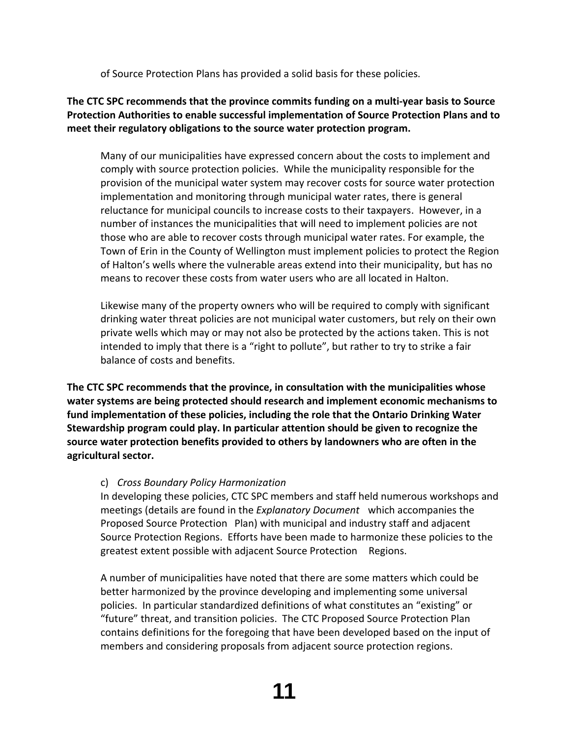of Source Protection Plans has provided a solid basis for these policies.

# **The CTC SPC recommends that the province commits funding on a multi‐year basis to Source Protection Authorities to enable successful implementation of Source Protection Plans and to meet their regulatory obligations to the source water protection program.**

Many of our municipalities have expressed concern about the costs to implement and comply with source protection policies. While the municipality responsible for the provision of the municipal water system may recover costs for source water protection implementation and monitoring through municipal water rates, there is general reluctance for municipal councils to increase costs to their taxpayers. However, in a number of instances the municipalities that will need to implement policies are not those who are able to recover costs through municipal water rates. For example, the Town of Erin in the County of Wellington must implement policies to protect the Region of Halton's wells where the vulnerable areas extend into their municipality, but has no means to recover these costs from water users who are all located in Halton.

Likewise many of the property owners who will be required to comply with significant drinking water threat policies are not municipal water customers, but rely on their own private wells which may or may not also be protected by the actions taken. This is not intended to imply that there is a "right to pollute", but rather to try to strike a fair balance of costs and benefits.

**The CTC SPC recommends that the province, in consultation with the municipalities whose water systems are being protected should research and implement economic mechanisms to fund implementation of these policies, including the role that the Ontario Drinking Water Stewardship program could play. In particular attention should be given to recognize the source water protection benefits provided to others by landowners who are often in the agricultural sector.**

# c) *Cross Boundary Policy Harmonization*

In developing these policies, CTC SPC members and staff held numerous workshops and meetings (details are found in the *Explanatory Document* which accompanies the Proposed Source Protection Plan) with municipal and industry staff and adjacent Source Protection Regions. Efforts have been made to harmonize these policies to the greatest extent possible with adjacent Source Protection Regions.

A number of municipalities have noted that there are some matters which could be better harmonized by the province developing and implementing some universal policies. In particular standardized definitions of what constitutes an "existing" or "future" threat, and transition policies. The CTC Proposed Source Protection Plan contains definitions for the foregoing that have been developed based on the input of members and considering proposals from adjacent source protection regions.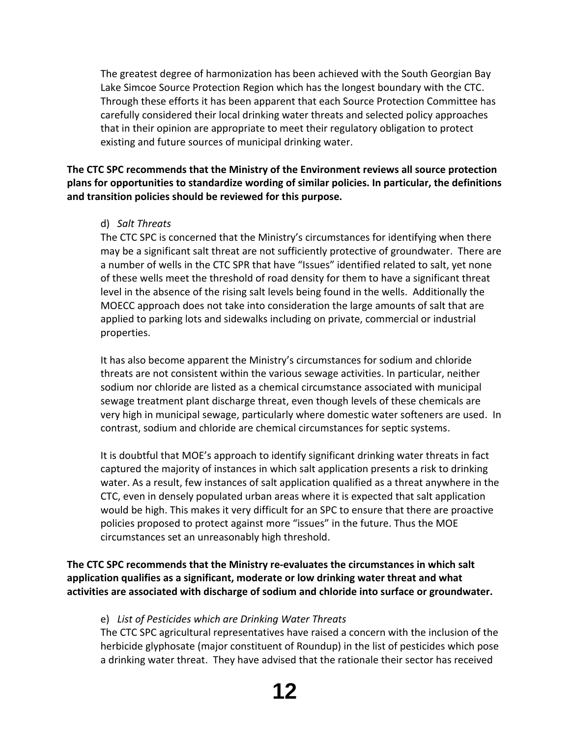The greatest degree of harmonization has been achieved with the South Georgian Bay Lake Simcoe Source Protection Region which has the longest boundary with the CTC. Through these efforts it has been apparent that each Source Protection Committee has carefully considered their local drinking water threats and selected policy approaches that in their opinion are appropriate to meet their regulatory obligation to protect existing and future sources of municipal drinking water.

**The CTC SPC recommends that the Ministry of the Environment reviews all source protection plans for opportunities to standardize wording of similar policies. In particular, the definitions and transition policies should be reviewed for this purpose.**

## d) *Salt Threats*

The CTC SPC is concerned that the Ministry's circumstances for identifying when there may be a significant salt threat are not sufficiently protective of groundwater. There are a number of wells in the CTC SPR that have "Issues" identified related to salt, yet none of these wells meet the threshold of road density for them to have a significant threat level in the absence of the rising salt levels being found in the wells. Additionally the MOECC approach does not take into consideration the large amounts of salt that are applied to parking lots and sidewalks including on private, commercial or industrial properties.

It has also become apparent the Ministry's circumstances for sodium and chloride threats are not consistent within the various sewage activities. In particular, neither sodium nor chloride are listed as a chemical circumstance associated with municipal sewage treatment plant discharge threat, even though levels of these chemicals are very high in municipal sewage, particularly where domestic water softeners are used. In contrast, sodium and chloride are chemical circumstances for septic systems.

It is doubtful that MOE's approach to identify significant drinking water threats in fact captured the majority of instances in which salt application presents a risk to drinking water. As a result, few instances of salt application qualified as a threat anywhere in the CTC, even in densely populated urban areas where it is expected that salt application would be high. This makes it very difficult for an SPC to ensure that there are proactive policies proposed to protect against more "issues" in the future. Thus the MOE circumstances set an unreasonably high threshold.

**The CTC SPC recommends that the Ministry re‐evaluates the circumstances in which salt application qualifies as a significant, moderate or low drinking water threat and what activities are associated with discharge of sodium and chloride into surface or groundwater.**

## e) *List of Pesticides which are Drinking Water Threats*

The CTC SPC agricultural representatives have raised a concern with the inclusion of the herbicide glyphosate (major constituent of Roundup) in the list of pesticides which pose a drinking water threat. They have advised that the rationale their sector has received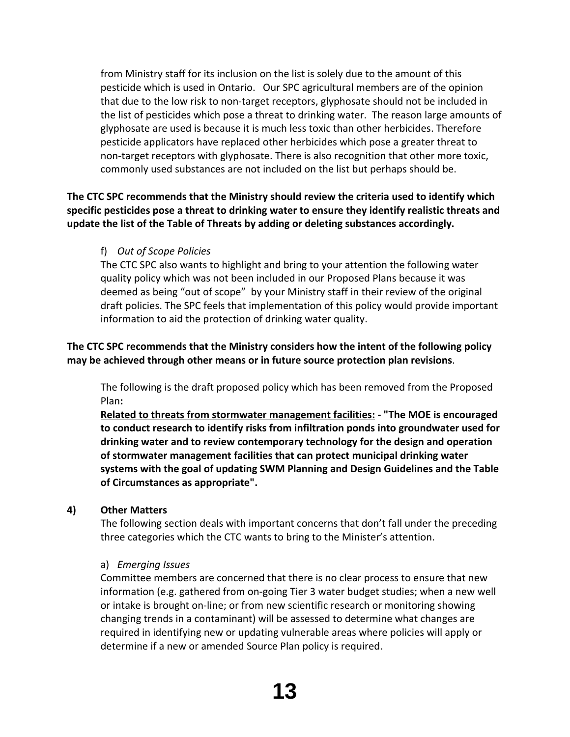from Ministry staff for its inclusion on the list is solely due to the amount of this pesticide which is used in Ontario. Our SPC agricultural members are of the opinion that due to the low risk to non‐target receptors, glyphosate should not be included in the list of pesticides which pose a threat to drinking water. The reason large amounts of glyphosate are used is because it is much less toxic than other herbicides. Therefore pesticide applicators have replaced other herbicides which pose a greater threat to non-target receptors with glyphosate. There is also recognition that other more toxic, commonly used substances are not included on the list but perhaps should be.

**The CTC SPC recommends that the Ministry should review the criteria used to identify which specific pesticides pose a threat to drinking water to ensure they identify realistic threats and update the list of the Table of Threats by adding or deleting substances accordingly.**

f) *Out of Scope Policies*

The CTC SPC also wants to highlight and bring to your attention the following water quality policy which was not been included in our Proposed Plans because it was deemed as being "out of scope" by your Ministry staff in their review of the original draft policies. The SPC feels that implementation of this policy would provide important information to aid the protection of drinking water quality.

# **The CTC SPC recommends that the Ministry considers how the intent of the following policy may be achieved through other means or in future source protection plan revisions**.

The following is the draft proposed policy which has been removed from the Proposed Plan**:**

**Related to threats from stormwater management facilities: ‐ "The MOE is encouraged to conduct research to identify risks from infiltration ponds into groundwater used for drinking water and to review contemporary technology for the design and operation of stormwater management facilities that can protect municipal drinking water systems with the goal of updating SWM Planning and Design Guidelines and the Table of Circumstances as appropriate".**

# **4) Other Matters**

The following section deals with important concerns that don't fall under the preceding three categories which the CTC wants to bring to the Minister's attention.

# a) *Emerging Issues*

Committee members are concerned that there is no clear process to ensure that new information (e.g. gathered from on‐going Tier 3 water budget studies; when a new well or intake is brought on‐line; or from new scientific research or monitoring showing changing trends in a contaminant) will be assessed to determine what changes are required in identifying new or updating vulnerable areas where policies will apply or determine if a new or amended Source Plan policy is required.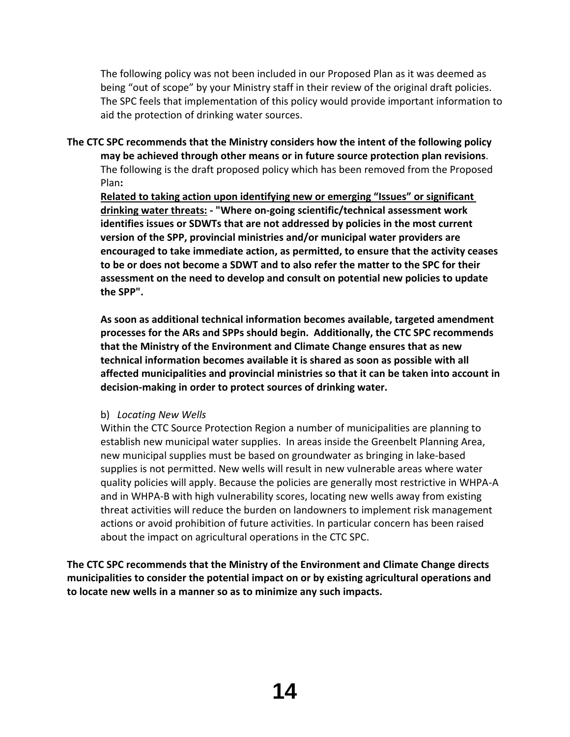The following policy was not been included in our Proposed Plan as it was deemed as being "out of scope" by your Ministry staff in their review of the original draft policies. The SPC feels that implementation of this policy would provide important information to aid the protection of drinking water sources.

**The CTC SPC recommends that the Ministry considers how the intent of the following policy may be achieved through other means or in future source protection plan revisions**. The following is the draft proposed policy which has been removed from the Proposed Plan**:**

**Related to taking action upon identifying new or emerging "Issues" or significant drinking water threats: ‐ "Where on‐going scientific/technical assessment work identifies issues or SDWTs that are not addressed by policies in the most current version of the SPP, provincial ministries and/or municipal water providers are encouraged to take immediate action, as permitted, to ensure that the activity ceases to be or does not become a SDWT and to also refer the matter to the SPC for their assessment on the need to develop and consult on potential new policies to update the SPP".**

**As soon as additional technical information becomes available, targeted amendment processes for the ARs and SPPs should begin. Additionally, the CTC SPC recommends that the Ministry of the Environment and Climate Change ensures that as new technical information becomes available it is shared as soon as possible with all affected municipalities and provincial ministries so that it can be taken into account in decision‐making in order to protect sources of drinking water.**

b) *Locating New Wells*

Within the CTC Source Protection Region a number of municipalities are planning to establish new municipal water supplies. In areas inside the Greenbelt Planning Area, new municipal supplies must be based on groundwater as bringing in lake‐based supplies is not permitted. New wells will result in new vulnerable areas where water quality policies will apply. Because the policies are generally most restrictive in WHPA‐A and in WHPA‐B with high vulnerability scores, locating new wells away from existing threat activities will reduce the burden on landowners to implement risk management actions or avoid prohibition of future activities. In particular concern has been raised about the impact on agricultural operations in the CTC SPC.

**The CTC SPC recommends that the Ministry of the Environment and Climate Change directs municipalities to consider the potential impact on or by existing agricultural operations and to locate new wells in a manner so as to minimize any such impacts.**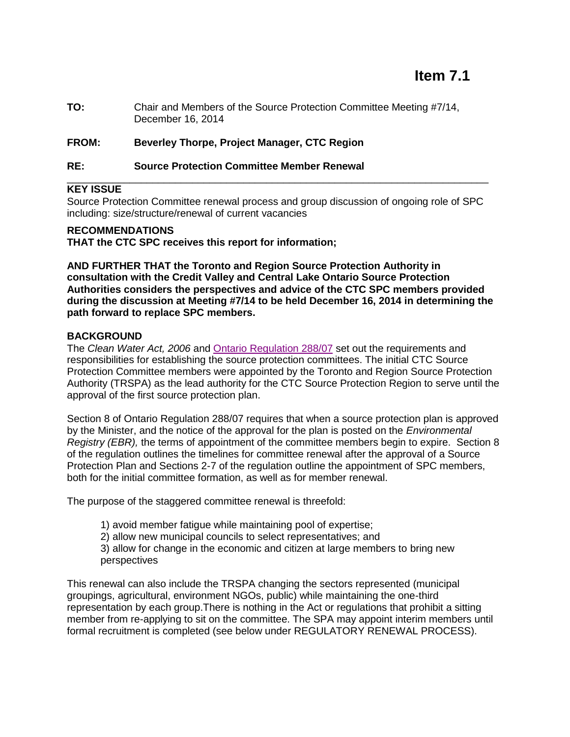# **Item 7.1**

**TO:** Chair and Members of the Source Protection Committee Meeting #7/14, December 16, 2014

## **FROM: Beverley Thorpe, Project Manager, CTC Region**

#### **RE: Source Protection Committee Member Renewal**

### **KEY ISSUE**

Source Protection Committee renewal process and group discussion of ongoing role of SPC including: size/structure/renewal of current vacancies

\_\_\_\_\_\_\_\_\_\_\_\_\_\_\_\_\_\_\_\_\_\_\_\_\_\_\_\_\_\_\_\_\_\_\_\_\_\_\_\_\_\_\_\_\_\_\_\_\_\_\_\_\_\_\_\_\_\_\_\_\_\_\_\_\_\_\_\_\_\_\_\_\_\_

#### **RECOMMENDATIONS**

**THAT the CTC SPC receives this report for information;**

**AND FURTHER THAT the Toronto and Region Source Protection Authority in consultation with the Credit Valley and Central Lake Ontario Source Protection Authorities considers the perspectives and advice of the CTC SPC members provided during the discussion at Meeting #7/14 to be held December 16, 2014 in determining the path forward to replace SPC members.**

### **BACKGROUND**

The *Clean Water Act, 2006* and [Ontario Regulation 288/07](http://www.e-laws.gov.on.ca/html/regs/english/elaws_regs_070288_e.htm) set out the requirements and responsibilities for establishing the source protection committees. The initial CTC Source Protection Committee members were appointed by the Toronto and Region Source Protection Authority (TRSPA) as the lead authority for the CTC Source Protection Region to serve until the approval of the first source protection plan.

Section 8 of Ontario Regulation 288/07 requires that when a source protection plan is approved by the Minister, and the notice of the approval for the plan is posted on the *Environmental Registry (EBR),* the terms of appointment of the committee members begin to expire. Section 8 of the regulation outlines the timelines for committee renewal after the approval of a Source Protection Plan and Sections 2-7 of the regulation outline the appointment of SPC members, both for the initial committee formation, as well as for member renewal.

The purpose of the staggered committee renewal is threefold:

- 1) avoid member fatigue while maintaining pool of expertise;
- 2) allow new municipal councils to select representatives; and
- 3) allow for change in the economic and citizen at large members to bring new perspectives

This renewal can also include the TRSPA changing the sectors represented (municipal groupings, agricultural, environment NGOs, public) while maintaining the one-third representation by each group.There is nothing in the Act or regulations that prohibit a sitting member from re-applying to sit on the committee. The SPA may appoint interim members until formal recruitment is completed (see below under REGULATORY RENEWAL PROCESS).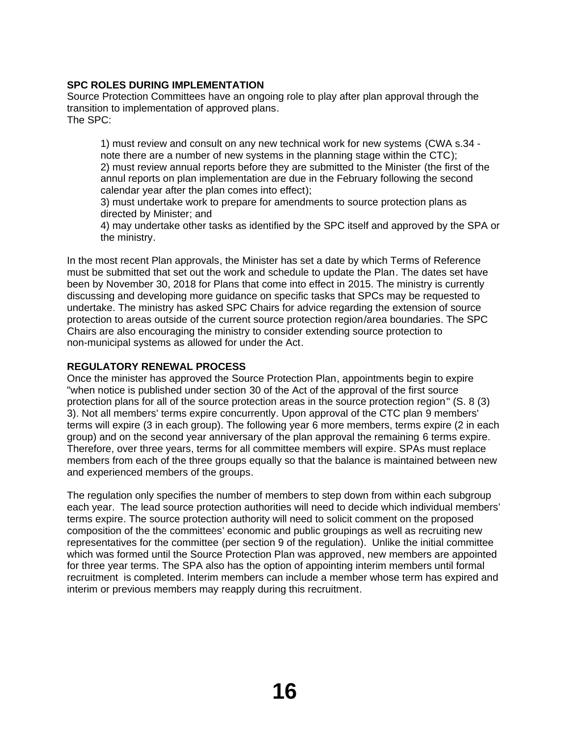# **SPC ROLES DURING IMPLEMENTATION**

Source Protection Committees have an ongoing role to play after plan approval through the transition to implementation of approved plans. The SPC:

1) must review and consult on any new technical work for new systems (CWA s.34 note there are a number of new systems in the planning stage within the CTC); 2) must review annual reports before they are submitted to the Minister (the first of the annul reports on plan implementation are due in the February following the second calendar year after the plan comes into effect);

3) must undertake work to prepare for amendments to source protection plans as directed by Minister; and

4) may undertake other tasks as identified by the SPC itself and approved by the SPA or the ministry.

In the most recent Plan approvals, the Minister has set a date by which Terms of Reference must be submitted that set out the work and schedule to update the Plan. The dates set have been by November 30, 2018 for Plans that come into effect in 2015. The ministry is currently discussing and developing more guidance on specific tasks that SPCs may be requested to undertake. The ministry has asked SPC Chairs for advice regarding the extension of source protection to areas outside of the current source protection region/area boundaries. The SPC Chairs are also encouraging the ministry to consider extending source protection to non-municipal systems as allowed for under the Act.

## **REGULATORY RENEWAL PROCESS**

Once the minister has approved the Source Protection Plan, appointments begin to expire "when notice is published under section 30 of the Act of the approval of the first source protection plans for all of the source protection areas in the source protection region" (S. 8 (3) 3). Not all members' terms expire concurrently. Upon approval of the CTC plan 9 members' terms will expire (3 in each group). The following year 6 more members, terms expire (2 in each group) and on the second year anniversary of the plan approval the remaining 6 terms expire. Therefore, over three years, terms for all committee members will expire. SPAs must replace members from each of the three groups equally so that the balance is maintained between new and experienced members of the groups.

The regulation only specifies the number of members to step down from within each subgroup each year. The lead source protection authorities will need to decide which individual members' terms expire. The source protection authority will need to solicit comment on the proposed composition of the the committees' economic and public groupings as well as recruiting new representatives for the committee (per section 9 of the regulation). Unlike the initial committee which was formed until the Source Protection Plan was approved, new members are appointed for three year terms. The SPA also has the option of appointing interim members until formal recruitment is completed. Interim members can include a member whose term has expired and interim or previous members may reapply during this recruitment.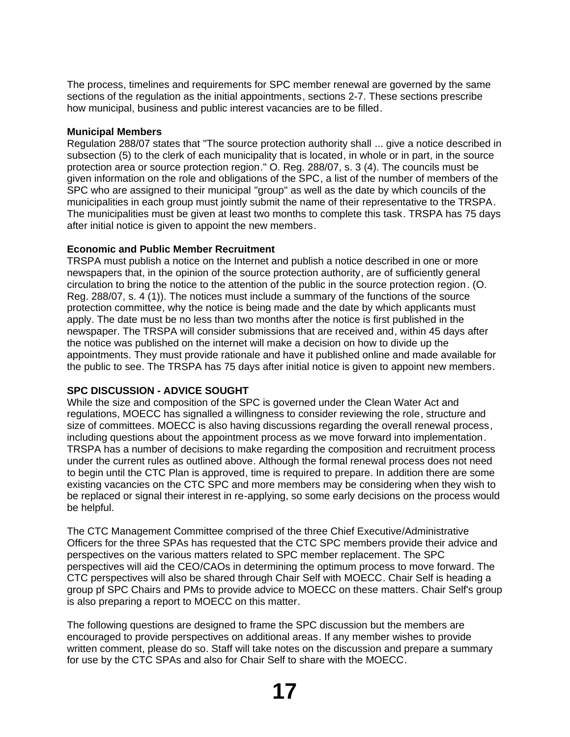The process, timelines and requirements for SPC member renewal are governed by the same sections of the regulation as the initial appointments, sections 2-7. These sections prescribe how municipal, business and public interest vacancies are to be filled.

### **Municipal Members**

Regulation 288/07 states that "The source protection authority shall ... give a notice described in subsection (5) to the clerk of each municipality that is located, in whole or in part, in the source protection area or source protection region." O. Reg. 288/07, s. 3 (4). The councils must be given information on the role and obligations of the SPC, a list of the number of members of the SPC who are assigned to their municipal "group" as well as the date by which councils of the municipalities in each group must jointly submit the name of their representative to the TRSPA. The municipalities must be given at least two months to complete this task. TRSPA has 75 days after initial notice is given to appoint the new members.

## **Economic and Public Member Recruitment**

TRSPA must publish a notice on the Internet and publish a notice described in one or more newspapers that, in the opinion of the source protection authority, are of sufficiently general circulation to bring the notice to the attention of the public in the source protection region. (O. Reg. 288/07, s. 4 (1)). The notices must include a summary of the functions of the source protection committee, why the notice is being made and the date by which applicants must apply. The date must be no less than two months after the notice is first published in the newspaper. The TRSPA will consider submissions that are received and, within 45 days after the notice was published on the internet will make a decision on how to divide up the appointments. They must provide rationale and have it published online and made available for the public to see. The TRSPA has 75 days after initial notice is given to appoint new members.

## **SPC DISCUSSION - ADVICE SOUGHT**

While the size and composition of the SPC is governed under the Clean Water Act and regulations, MOECC has signalled a willingness to consider reviewing the role, structure and size of committees. MOECC is also having discussions regarding the overall renewal process, including questions about the appointment process as we move forward into implementation. TRSPA has a number of decisions to make regarding the composition and recruitment process under the current rules as outlined above. Although the formal renewal process does not need to begin until the CTC Plan is approved, time is required to prepare. In addition there are some existing vacancies on the CTC SPC and more members may be considering when they wish to be replaced or signal their interest in re-applying, so some early decisions on the process would be helpful.

The CTC Management Committee comprised of the three Chief Executive/Administrative Officers for the three SPAs has requested that the CTC SPC members provide their advice and perspectives on the various matters related to SPC member replacement. The SPC perspectives will aid the CEO/CAOs in determining the optimum process to move forward. The CTC perspectives will also be shared through Chair Self with MOECC. Chair Self is heading a group pf SPC Chairs and PMs to provide advice to MOECC on these matters. Chair Self's group is also preparing a report to MOECC on this matter.

The following questions are designed to frame the SPC discussion but the members are encouraged to provide perspectives on additional areas. If any member wishes to provide written comment, please do so. Staff will take notes on the discussion and prepare a summary for use by the CTC SPAs and also for Chair Self to share with the MOECC.